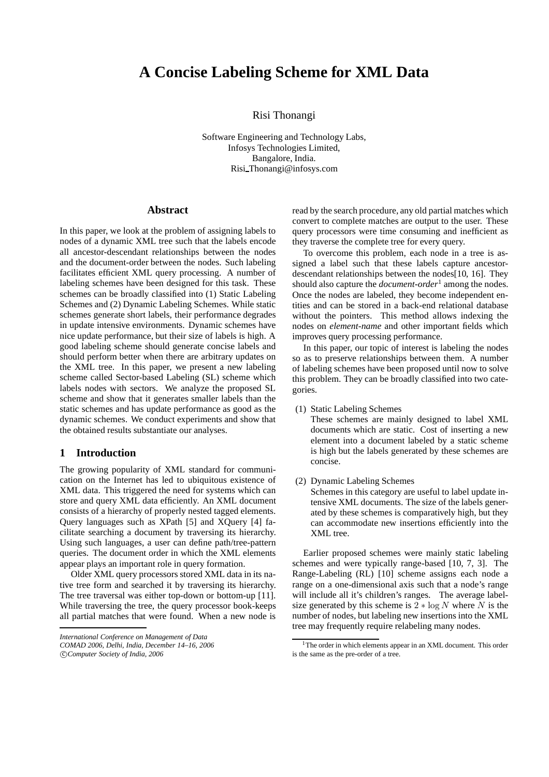# **A Concise Labeling Scheme for XML Data**

Risi Thonangi

Software Engineering and Technology Labs, Infosys Technologies Limited, Bangalore, India. Risi Thonangi@infosys.com

## **Abstract**

In this paper, we look at the problem of assigning labels to nodes of a dynamic XML tree such that the labels encode all ancestor-descendant relationships between the nodes and the document-order between the nodes. Such labeling facilitates efficient XML query processing. A number of labeling schemes have been designed for this task. These schemes can be broadly classified into (1) Static Labeling Schemes and (2) Dynamic Labeling Schemes. While static schemes generate short labels, their performance degrades in update intensive environments. Dynamic schemes have nice update performance, but their size of labels is high. A good labeling scheme should generate concise labels and should perform better when there are arbitrary updates on the XML tree. In this paper, we present a new labeling scheme called Sector-based Labeling (SL) scheme which labels nodes with sectors. We analyze the proposed SL scheme and show that it generates smaller labels than the static schemes and has update performance as good as the dynamic schemes. We conduct experiments and show that the obtained results substantiate our analyses.

## **1 Introduction**

The growing popularity of XML standard for communication on the Internet has led to ubiquitous existence of XML data. This triggered the need for systems which can store and query XML data efficiently. An XML document consists of a hierarchy of properly nested tagged elements. Query languages such as XPath [5] and XQuery [4] facilitate searching a document by traversing its hierarchy. Using such languages, a user can define path/tree-pattern queries. The document order in which the XML elements appear plays an important role in query formation.

Older XML query processors stored XML data in its native tree form and searched it by traversing its hierarchy. The tree traversal was either top-down or bottom-up [11]. While traversing the tree, the query processor book-keeps all partial matches that were found. When a new node is

read by the search procedure, any old partial matches which convert to complete matches are output to the user. These query processors were time consuming and inefficient as they traverse the complete tree for every query.

To overcome this problem, each node in a tree is assigned a label such that these labels capture ancestordescendant relationships between the nodes[10, 16]. They should also capture the *document-order*<sup>1</sup> among the nodes. Once the nodes are labeled, they become independent entities and can be stored in a back-end relational database without the pointers. This method allows indexing the nodes on *element-name* and other important fields which improves query processing performance.

In this paper, our topic of interest is labeling the nodes so as to preserve relationships between them. A number of labeling schemes have been proposed until now to solve this problem. They can be broadly classified into two categories.

(1) Static Labeling Schemes

These schemes are mainly designed to label XML documents which are static. Cost of inserting a new element into a document labeled by a static scheme is high but the labels generated by these schemes are concise.

(2) Dynamic Labeling Schemes

Schemes in this category are useful to label update intensive XML documents. The size of the labels generated by these schemes is comparatively high, but they can accommodate new insertions efficiently into the XML tree.

Earlier proposed schemes were mainly static labeling schemes and were typically range-based [10, 7, 3]. The Range-Labeling (RL) [10] scheme assigns each node a range on a one-dimensional axis such that a node's range will include all it's children's ranges. The average labelsize generated by this scheme is  $2 * log N$  where N is the number of nodes, but labeling new insertions into the XML tree may frequently require relabeling many nodes.

*International Conference on Management of Data*

*COMAD 2006, Delhi, India, December 14–16, 2006*

c *Computer Society of India, 2006*

<sup>&</sup>lt;sup>1</sup>The order in which elements appear in an XML document. This order is the same as the pre-order of a tree.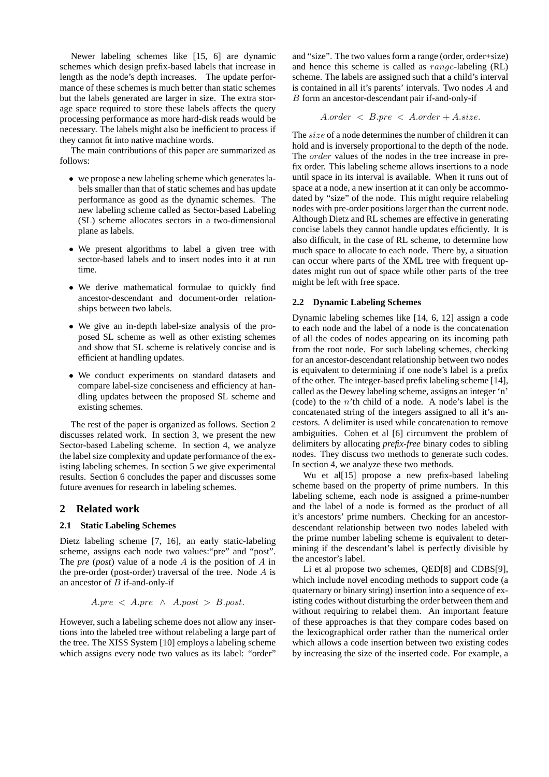Newer labeling schemes like [15, 6] are dynamic schemes which design prefix-based labels that increase in length as the node's depth increases. The update performance of these schemes is much better than static schemes but the labels generated are larger in size. The extra storage space required to store these labels affects the query processing performance as more hard-disk reads would be necessary. The labels might also be inefficient to process if they cannot fit into native machine words.

The main contributions of this paper are summarized as follows:

- we propose a new labeling scheme which generates labels smaller than that of static schemes and has update performance as good as the dynamic schemes. The new labeling scheme called as Sector-based Labeling (SL) scheme allocates sectors in a two-dimensional plane as labels.
- We present algorithms to label a given tree with sector-based labels and to insert nodes into it at run time.
- We derive mathematical formulae to quickly find ancestor-descendant and document-order relationships between two labels.
- We give an in-depth label-size analysis of the proposed SL scheme as well as other existing schemes and show that SL scheme is relatively concise and is efficient at handling updates.
- We conduct experiments on standard datasets and compare label-size conciseness and efficiency at handling updates between the proposed SL scheme and existing schemes.

The rest of the paper is organized as follows. Section 2 discusses related work. In section 3, we present the new Sector-based Labeling scheme. In section 4, we analyze the label size complexity and update performance of the existing labeling schemes. In section 5 we give experimental results. Section 6 concludes the paper and discusses some future avenues for research in labeling schemes.

## **2 Related work**

## **2.1 Static Labeling Schemes**

Dietz labeling scheme [7, 16], an early static-labeling scheme, assigns each node two values:"pre" and "post". The *pre* (*post*) value of a node A is the position of A in the pre-order (post-order) traversal of the tree. Node  $A$  is an ancestor of  $B$  if-and-only-if

$$
A.pre < A.pre \land A.post > B.post.
$$

However, such a labeling scheme does not allow any insertions into the labeled tree without relabeling a large part of the tree. The XISS System [10] employs a labeling scheme which assigns every node two values as its label: "order"

and "size". The two values form a range (order, order+size) and hence this scheme is called as range-labeling (RL) scheme. The labels are assigned such that a child's interval is contained in all it's parents' intervals. Two nodes A and B form an ancestor-descendant pair if-and-only-if

$$
A. order < B. pre < A. order + A. size.
$$

The *size* of a node determines the number of children it can hold and is inversely proportional to the depth of the node. The *order* values of the nodes in the tree increase in prefix order. This labeling scheme allows insertions to a node until space in its interval is available. When it runs out of space at a node, a new insertion at it can only be accommodated by "size" of the node. This might require relabeling nodes with pre-order positions larger than the current node. Although Dietz and RL schemes are effective in generating concise labels they cannot handle updates efficiently. It is also difficult, in the case of RL scheme, to determine how much space to allocate to each node. There by, a situation can occur where parts of the XML tree with frequent updates might run out of space while other parts of the tree might be left with free space.

## **2.2 Dynamic Labeling Schemes**

Dynamic labeling schemes like [14, 6, 12] assign a code to each node and the label of a node is the concatenation of all the codes of nodes appearing on its incoming path from the root node. For such labeling schemes, checking for an ancestor-descendant relationship between two nodes is equivalent to determining if one node's label is a prefix of the other. The integer-based prefix labeling scheme [14], called as the Dewey labeling scheme, assigns an integer 'n' (code) to the  $n'$ th child of a node. A node's label is the concatenated string of the integers assigned to all it's ancestors. A delimiter is used while concatenation to remove ambiguities. Cohen et al [6] circumvent the problem of delimiters by allocating *prefix-free* binary codes to sibling nodes. They discuss two methods to generate such codes. In section 4, we analyze these two methods.

Wu et al[15] propose a new prefix-based labeling scheme based on the property of prime numbers. In this labeling scheme, each node is assigned a prime-number and the label of a node is formed as the product of all it's ancestors' prime numbers. Checking for an ancestordescendant relationship between two nodes labeled with the prime number labeling scheme is equivalent to determining if the descendant's label is perfectly divisible by the ancestor's label.

Li et al propose two schemes, QED[8] and CDBS[9], which include novel encoding methods to support code (a quaternary or binary string) insertion into a sequence of existing codes without disturbing the order between them and without requiring to relabel them. An important feature of these approaches is that they compare codes based on the lexicographical order rather than the numerical order which allows a code insertion between two existing codes by increasing the size of the inserted code. For example, a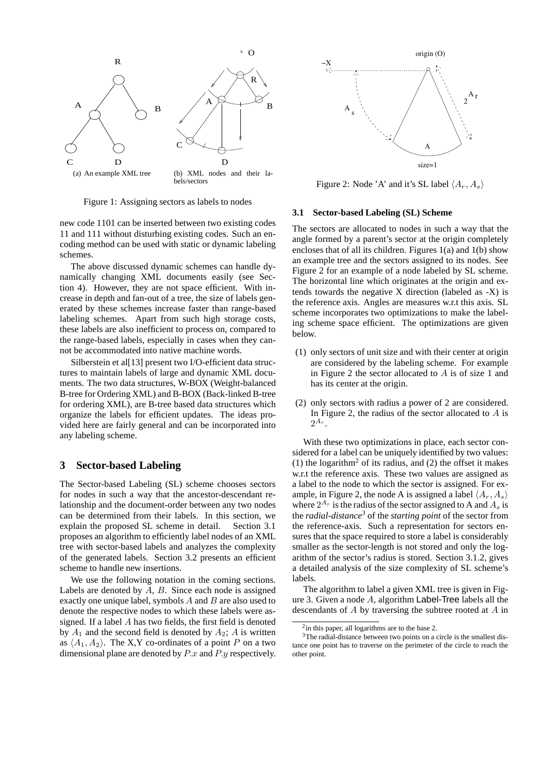

Figure 1: Assigning sectors as labels to nodes

new code 1101 can be inserted between two existing codes 11 and 111 without disturbing existing codes. Such an encoding method can be used with static or dynamic labeling schemes.

The above discussed dynamic schemes can handle dynamically changing XML documents easily (see Section 4). However, they are not space efficient. With increase in depth and fan-out of a tree, the size of labels generated by these schemes increase faster than range-based labeling schemes. Apart from such high storage costs, these labels are also inefficient to process on, compared to the range-based labels, especially in cases when they cannot be accommodated into native machine words.

Silberstein et al[13] present two I/O-efficient data structures to maintain labels of large and dynamic XML documents. The two data structures, W-BOX (Weight-balanced B-tree for Ordering XML) and B-BOX (Back-linked B-tree for ordering XML), are B-tree based data structures which organize the labels for efficient updates. The ideas provided here are fairly general and can be incorporated into any labeling scheme.

## **3 Sector-based Labeling**

The Sector-based Labeling (SL) scheme chooses sectors for nodes in such a way that the ancestor-descendant relationship and the document-order between any two nodes can be determined from their labels. In this section, we explain the proposed SL scheme in detail. Section 3.1 proposes an algorithm to efficiently label nodes of an XML tree with sector-based labels and analyzes the complexity of the generated labels. Section 3.2 presents an efficient scheme to handle new insertions.

We use the following notation in the coming sections. Labels are denoted by  $A$ ,  $B$ . Since each node is assigned exactly one unique label, symbols  $A$  and  $B$  are also used to denote the respective nodes to which these labels were assigned. If a label A has two fields, the first field is denoted by  $A_1$  and the second field is denoted by  $A_2$ ; A is written as  $\langle A_1, A_2 \rangle$ . The X,Y co-ordinates of a point P on a two dimensional plane are denoted by P.x and P.y respectively.



Figure 2: Node 'A' and it's SL label  $\langle A_r, A_s \rangle$ 

#### **3.1 Sector-based Labeling (SL) Scheme**

The sectors are allocated to nodes in such a way that the angle formed by a parent's sector at the origin completely encloses that of all its children. Figures 1(a) and 1(b) show an example tree and the sectors assigned to its nodes. See Figure 2 for an example of a node labeled by SL scheme. The horizontal line which originates at the origin and extends towards the negative X direction (labeled as -X) is the reference axis. Angles are measures w.r.t this axis. SL scheme incorporates two optimizations to make the labeling scheme space efficient. The optimizations are given below.

- (1) only sectors of unit size and with their center at origin are considered by the labeling scheme. For example in Figure 2 the sector allocated to  $A$  is of size 1 and has its center at the origin.
- (2) only sectors with radius a power of 2 are considered. In Figure 2, the radius of the sector allocated to  $A$  is  $2^{A_r}$ .

With these two optimizations in place, each sector considered for a label can be uniquely identified by two values: (1) the logarithm<sup>2</sup> of its radius, and (2) the offset it makes w.r.t the reference axis. These two values are assigned as a label to the node to which the sector is assigned. For example, in Figure 2, the node A is assigned a label  $\langle A_r, A_s \rangle$ where  $2^{A_r}$  is the radius of the sector assigned to A and  $A_s$  is the *radial-distance*<sup>3</sup> of the *starting point* of the sector from the reference-axis. Such a representation for sectors ensures that the space required to store a label is considerably smaller as the sector-length is not stored and only the logarithm of the sector's radius is stored. Section 3.1.2, gives a detailed analysis of the size complexity of SL scheme's labels.

The algorithm to label a given XML tree is given in Figure 3. Given a node A, algorithm Label-Tree labels all the descendants of A by traversing the subtree rooted at A in

<sup>&</sup>lt;sup>2</sup> in this paper, all logarithms are to the base 2.

<sup>&</sup>lt;sup>3</sup>The radial-distance between two points on a circle is the smallest distance one point has to traverse on the perimeter of the circle to reach the other point.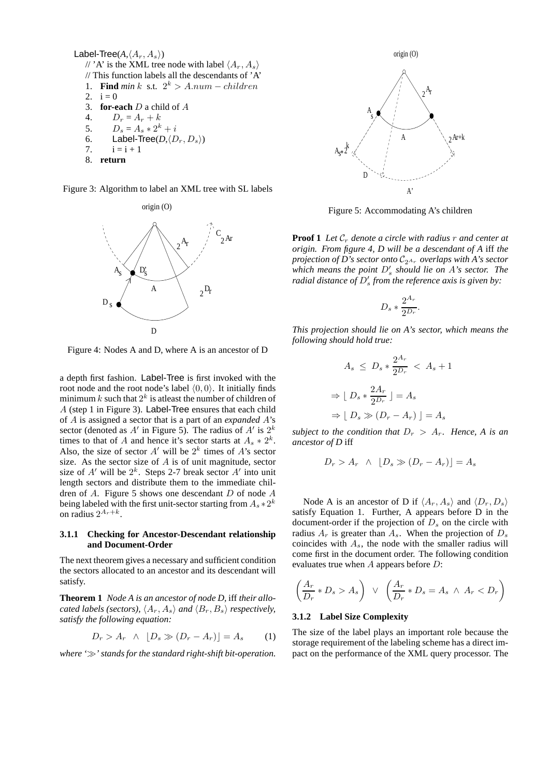```
Label-Tree(A, \langle A_r, A_s \rangle)
// 'A' is the XML tree node with label \langle A_r, A_s \rangle\frac{1}{2} This function labels all the descendants of 'A'
 1. Find min k s.t. 2^k > A. num - children2. i = 0<br>3. for-e
3. for-each D a child of A<br>4. D_x = A_x + k4. D_r = A_r + k<br>5. D_s = A_s * 2^k5. D_s = A_s * 2^k + i6. Label-Tree(D, \langle D_r, D_s \rangle)
7. i = i + 18. return
```
Figure 3: Algorithm to label an XML tree with SL labels



Figure 4: Nodes A and D, where A is an ancestor of D

a depth first fashion. Label-Tree is first invoked with the root node and the root node's label  $(0, 0)$ . It initially finds minimum k such that  $2^k$  is atleast the number of children of A (step 1 in Figure 3). Label-Tree ensures that each child of A is assigned a sector that is a part of an *expanded* A's sector (denoted as A' in Figure 5). The radius of A' is  $2^k$ times to that of A and hence it's sector starts at  $A_s * 2^k$ . Also, the size of sector  $A'$  will be  $2^k$  times of  $A'$ 's sector size. As the sector size of  $A$  is of unit magnitude, sector size of  $A'$  will be  $2^k$ . Steps 2-7 break sector  $A'$  into unit length sectors and distribute them to the immediate children of A. Figure 5 shows one descendant D of node A being labeled with the first unit-sector starting from  $A_s$   $*$   $2^k$ on radius  $2^{A_r+k}$ .

#### **3.1.1 Checking for Ancestor-Descendant relationship and Document-Order**

The next theorem gives a necessary and sufficient condition the sectors allocated to an ancestor and its descendant will satisfy.

**Theorem 1** *Node A is an ancestor of node D,* iff *their allocated labels (sectors),*  $\langle A_r, A_s \rangle$  *and*  $\langle B_r, B_s \rangle$  *respectively, satisfy the following equation:*

$$
D_r > A_r \quad \wedge \quad [D_s \gg (D_r - A_r)] = A_s \tag{1}
$$

*where '*≫*' stands for the standard right-shift bit-operation.*



Figure 5: Accommodating A's children

**Proof 1** Let  $\mathcal{C}_r$  denote a circle with radius r and center at *origin. From figure 4, D will be a descendant of A* iff *the projection of D's sector onto*  $C_{2^{A_r}}$  *overlaps with A's sector which means the point* D′ s *should lie on* A*'s sector. The radial distance of* D′ s *from the reference axis is given by:*

$$
D_s * \frac{2^{A_r}}{2^{D_r}}.
$$

*This projection should lie on A's sector, which means the following should hold true:*

$$
A_s \le D_s * \frac{2^{A_r}}{2^{D_r}} < A_s + 1
$$
\n
$$
\Rightarrow \lfloor D_s * \frac{2A_r}{2^{D_r}} \rfloor = A_s
$$
\n
$$
\Rightarrow \lfloor D_s \gg (D_r - A_r) \rfloor = A_s
$$

*subject to the condition that*  $D_r > A_r$ . Hence, A is an *ancestor of D* iff

$$
D_r > A_r \ \wedge \ [D_s \gg (D_r - A_r)] = A_s
$$

Node A is an ancestor of D if  $\langle A_r, A_s \rangle$  and  $\langle D_r, D_s \rangle$ satisfy Equation 1. Further, A appears before D in the document-order if the projection of  $D<sub>s</sub>$  on the circle with radius  $A_r$  is greater than  $A_s$ . When the projection of  $D_s$ coincides with  $A_s$ , the node with the smaller radius will come first in the document order. The following condition evaluates true when  $A$  appears before  $D$ :

$$
\left(\frac{A_r}{D_r} * D_s > A_s\right) \ \lor \ \left(\frac{A_r}{D_r} * D_s = A_s \ \land \ A_r < D_r\right)
$$

#### **3.1.2 Label Size Complexity**

The size of the label plays an important role because the storage requirement of the labeling scheme has a direct impact on the performance of the XML query processor. The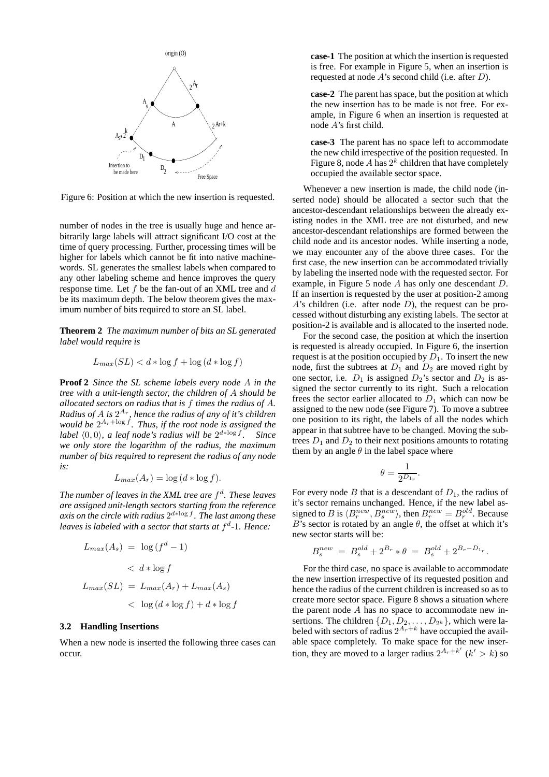

Figure 6: Position at which the new insertion is requested.

number of nodes in the tree is usually huge and hence arbitrarily large labels will attract significant I/O cost at the time of query processing. Further, processing times will be higher for labels which cannot be fit into native machinewords. SL generates the smallest labels when compared to any other labeling scheme and hence improves the query response time. Let  $f$  be the fan-out of an XML tree and  $d$ be its maximum depth. The below theorem gives the maximum number of bits required to store an SL label.

**Theorem 2** *The maximum number of bits an SL generated label would require is*

$$
L_{max}(SL) < d * \log f + \log \left( d * \log f \right)
$$

**Proof 2** *Since the SL scheme labels every node* A *in the tree with a unit-length sector, the children of* A *should be allocated sectors on radius that is* f *times the radius of* A*. Radius of* A *is* 2 Ar *, hence the radius of any of it's children* would be  $2^{A_r + \log f}$ *. Thus, if the root node is assigned the* label  $\langle 0,0 \rangle$ , a leaf node's radius will be  $2^{d * \log f}$ . Since *we only store the logarithm of the radius, the maximum number of bits required to represent the radius of any node is:*

$$
L_{max}(A_r) = \log (d * \log f).
$$

*The number of leaves in the XML tree are* f d *. These leaves are assigned unit-length sectors starting from the reference axis on the circle with radius* 2 d∗log f *. The last among these leaves is labeled with a sector that starts at* f d *-*1*. Hence:*

$$
L_{max}(A_s) = \log(f^d - 1)
$$
  

$$
< d * \log f
$$
  

$$
L_{max}(SL) = L_{max}(A_r) + L_{max}(A_s)
$$
  

$$
< \log(d * \log f) + d * \log f
$$

#### **3.2 Handling Insertions**

When a new node is inserted the following three cases can occur.

**case-1** The position at which the insertion is requested is free. For example in Figure 5, when an insertion is requested at node  $A$ 's second child (i.e. after  $D$ ).

**case-2** The parent has space, but the position at which the new insertion has to be made is not free. For example, in Figure 6 when an insertion is requested at node A's first child.

**case-3** The parent has no space left to accommodate the new child irrespective of the position requested. In Figure 8, node A has  $2^k$  children that have completely occupied the available sector space.

Whenever a new insertion is made, the child node (inserted node) should be allocated a sector such that the ancestor-descendant relationships between the already existing nodes in the XML tree are not disturbed, and new ancestor-descendant relationships are formed between the child node and its ancestor nodes. While inserting a node, we may encounter any of the above three cases. For the first case, the new insertion can be accommodated trivially by labeling the inserted node with the requested sector. For example, in Figure 5 node A has only one descendant D. If an insertion is requested by the user at position-2 among A's children (i.e. after node  $D$ ), the request can be processed without disturbing any existing labels. The sector at position-2 is available and is allocated to the inserted node.

For the second case, the position at which the insertion is requested is already occupied. In Figure 6, the insertion request is at the position occupied by  $D_1$ . To insert the new node, first the subtrees at  $D_1$  and  $D_2$  are moved right by one sector, i.e.  $D_1$  is assigned  $D_2$ 's sector and  $D_2$  is assigned the sector currently to its right. Such a relocation frees the sector earlier allocated to  $D_1$  which can now be assigned to the new node (see Figure 7). To move a subtree one position to its right, the labels of all the nodes which appear in that subtree have to be changed. Moving the subtrees  $D_1$  and  $D_2$  to their next positions amounts to rotating them by an angle  $\theta$  in the label space where

$$
\theta = \frac{1}{2^{D_{1_r}}}.
$$

For every node B that is a descendant of  $D_1$ , the radius of it's sector remains unchanged. Hence, if the new label assigned to B is  $\langle B_r^{new}, B_s^{new} \rangle$ , then  $B_r^{new} = B_r^{old}$ . Because B's sector is rotated by an angle  $\theta$ , the offset at which it's new sector starts will be:

$$
B_s^{new} = B_s^{old} + 2^{B_r} * \theta = B_s^{old} + 2^{B_r - D_{1_r}}.
$$

For the third case, no space is available to accommodate the new insertion irrespective of its requested position and hence the radius of the current children is increased so as to create more sector space. Figure 8 shows a situation where the parent node  $A$  has no space to accommodate new insertions. The children  $\{D_1, D_2, \ldots, D_{2^k}\}\,$ , which were labeled with sectors of radius  $2^{A_r+k}$  have occupied the available space completely. To make space for the new insertion, they are moved to a larger radius  $2^{A_r+k'}$  ( $k' > k$ ) so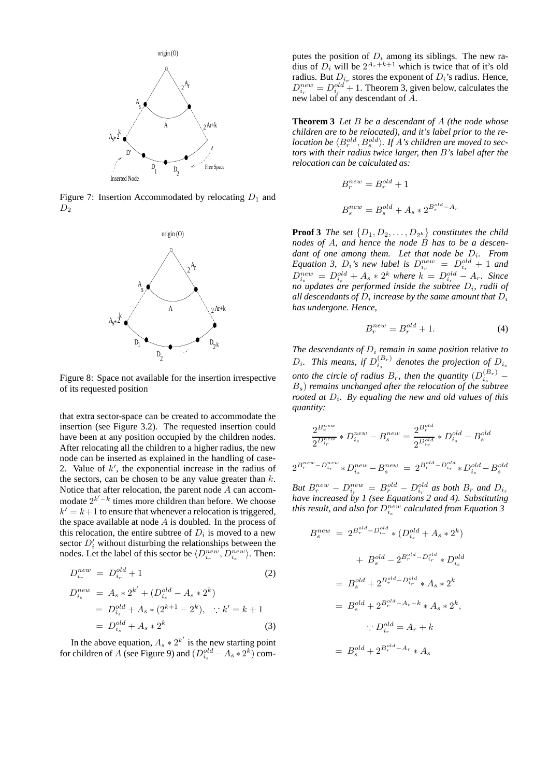

Figure 7: Insertion Accommodated by relocating  $D_1$  and  $D<sub>2</sub>$ 



Figure 8: Space not available for the insertion irrespective of its requested position

that extra sector-space can be created to accommodate the insertion (see Figure 3.2). The requested insertion could have been at any position occupied by the children nodes. After relocating all the children to a higher radius, the new node can be inserted as explained in the handling of case-2. Value of  $k'$ , the exponential increase in the radius of the sectors, can be chosen to be any value greater than  $k$ . Notice that after relocation, the parent node A can accommodate  $2^{k'-k}$  times more children than before. We choose  $k' = k+1$  to ensure that whenever a relocation is triggered, the space available at node  $A$  is doubled. In the process of this relocation, the entire subtree of  $D_i$  is moved to a new sector  $D'_i$  without disturbing the relationships between the nodes. Let the label of this sector be  $\langle D_{i_r}^{new}, D_{i_s}^{new} \rangle$ . Then:

$$
D_{i_r}^{new} = D_{i_r}^{old} + 1
$$
 (2)

$$
D_{i_s}^{new} = A_s * 2^{k'} + (D_{i_s}^{old} - A_s * 2^k)
$$
  
=  $D_{i_s}^{old} + A_s * (2^{k+1} - 2^k), \quad \therefore k' = k + 1$   
=  $D_{i_s}^{old} + A_s * 2^k$  (3)

In the above equation,  $A_s * 2^{k'}$  is the new starting point for children of A (see Figure 9) and  $(D_{i_s}^{old} - A_s * 2^k)$  com-

putes the position of  $D_i$  among its siblings. The new radius of  $D_i$  will be  $2^{A_r+k+1}$  which is twice that of it's old radius. But  $D_{i_r}$  stores the exponent of  $D_i$ 's radius. Hence,  $D_{i_r}^{new} = D_{i_r}^{old} + 1$ . Theorem 3, given below, calculates the new label of any descendant of A.

**Theorem 3** *Let* B *be a descendant of* A *(the node whose children are to be relocated), and it's label prior to the re* $location$  be  $\langle B_r^{old}, B_s^{old} \rangle$ . If A's children are moved to sec*tors with their radius twice larger, then* B*'s label after the relocation can be calculated as:*

$$
B_r^{new} = B_r^{old} + 1
$$
  

$$
B_s^{new} = B_s^{old} + A_s * 2^{B_r^{old} - A_r}
$$

**Proof 3** *The set*  $\{D_1, D_2, \ldots, D_{2^k}\}$  *constitutes the child nodes of* A*, and hence the node* B *has to be a descen*dant of one among them. Let that node be  $D_i$ . From *Equation 3,*  $D_i$ *'s new label is*  $D_{i_r}^{new} = D_{i_r}^{old} + 1$  *and*  $D_{i_s}^{new} = D_{i_s}^{old} + A_s * 2^k$  where  $k = D_{i_r}^{old} - A_r$ . Since *no updates are performed inside the subtree* D<sup>i</sup> *, radii of* all descendants of  $D_i$  increase by the same amount that  $D_i$ *has undergone. Hence,*

$$
B_r^{new} = B_r^{old} + 1.
$$
 (4)

*The descendants of*  $D_i$  *remain in same position* relative *to*  $D_i$ . This means, if  $D_{i_s}^{(B_r)}$  denotes the projection of  $D_{i_s}$ *onto the circle of radius*  $B_r$ , then the quantity  $(D_{i_s}^{(B_r)} -$ Bs) *remains unchanged after the relocation of the subtree rooted at*  $D_i$ . By equaling the new and old values of this *quantity:*

$$
\frac{2^{B_r^{new}}}{2^{D_{ir}^{new}}} * D_{i_s}^{new} - B_s^{new} = \frac{2^{B_r^{old}}}{2^{D_{ir}^{old}}} * D_{i_s}^{old} - B_s^{old}
$$

$$
2^{B_r^{new} - D_{ir}^{new}} * D_{i_s}^{new} - B_s^{new} = 2^{B_r^{old} - D_{i_r}^{old}} * D_{i_s}^{old} - B_s^{old}
$$

*But*  $B_r^{new} - D_{i_r}^{new} = B_r^{old} - D_{i_r}^{old}$  as both  $B_r$  and  $D_{i_r}$ *have increased by 1 (see Equations 2 and 4). Substituting* this result, and also for  $D_{i_s}^{new}$  calculated from Equation 3

$$
B_s^{new} = 2^{B_r^{old} - D_{ir}^{old}} * (D_{is}^{old} + A_s * 2^k)
$$
  
+  $B_s^{old} - 2^{B_r^{old} - D_{ir}^{old}} * D_{is}^{old}$   
=  $B_s^{old} + 2^{B_r^{old} - D_{ir}^{old}} * A_s * 2^k$   
=  $B_s^{old} + 2^{B_r^{old} - A_r - k} * A_s * 2^k$ ,  
 $\therefore D_{ir}^{old} = A_r + k$   
=  $B_s^{old} + 2^{B_r^{old} - A_r} * A_s$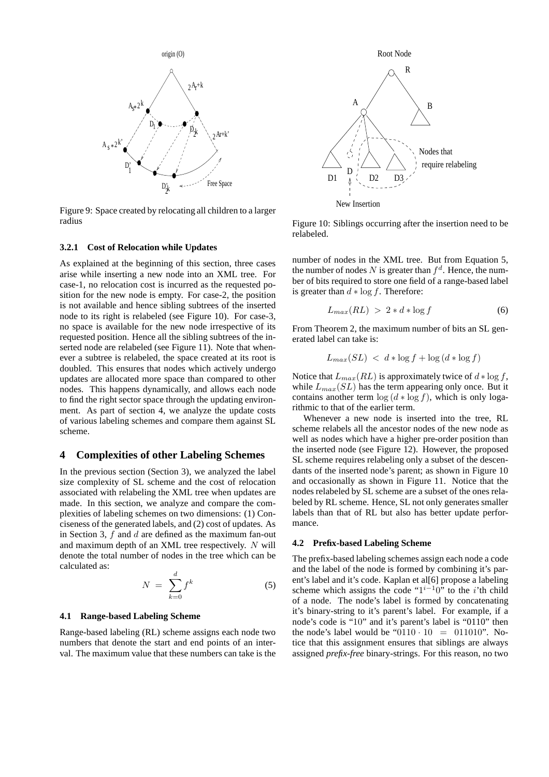

Figure 9: Space created by relocating all children to a larger radius

#### **3.2.1 Cost of Relocation while Updates**

As explained at the beginning of this section, three cases arise while inserting a new node into an XML tree. For case-1, no relocation cost is incurred as the requested position for the new node is empty. For case-2, the position is not available and hence sibling subtrees of the inserted node to its right is relabeled (see Figure 10). For case-3, no space is available for the new node irrespective of its requested position. Hence all the sibling subtrees of the inserted node are relabeled (see Figure 11). Note that whenever a subtree is relabeled, the space created at its root is doubled. This ensures that nodes which actively undergo updates are allocated more space than compared to other nodes. This happens dynamically, and allows each node to find the right sector space through the updating environment. As part of section 4, we analyze the update costs of various labeling schemes and compare them against SL scheme.

## **4 Complexities of other Labeling Schemes**

In the previous section (Section 3), we analyzed the label size complexity of SL scheme and the cost of relocation associated with relabeling the XML tree when updates are made. In this section, we analyze and compare the complexities of labeling schemes on two dimensions: (1) Conciseness of the generated labels, and (2) cost of updates. As in Section 3,  $f$  and  $d$  are defined as the maximum fan-out and maximum depth of an XML tree respectively. N will denote the total number of nodes in the tree which can be calculated as:

$$
N = \sum_{k=0}^{d} f^k \tag{5}
$$

#### **4.1 Range-based Labeling Scheme**

Range-based labeling (RL) scheme assigns each node two numbers that denote the start and end points of an interval. The maximum value that these numbers can take is the



Figure 10: Siblings occurring after the insertion need to be relabeled.

number of nodes in the XML tree. But from Equation 5, the number of nodes N is greater than  $f^d$ . Hence, the number of bits required to store one field of a range-based label is greater than  $d * log f$ . Therefore:

$$
L_{max}(RL) > 2 * d * \log f \tag{6}
$$

From Theorem 2, the maximum number of bits an SL generated label can take is:

$$
L_{max}(SL) < d * \log f + \log \left( d * \log f \right)
$$

Notice that  $L_{max}(RL)$  is approximately twice of  $d * \log f$ , while  $L_{max}(SL)$  has the term appearing only once. But it contains another term  $\log(d * \log f)$ , which is only logarithmic to that of the earlier term.

Whenever a new node is inserted into the tree, RL scheme relabels all the ancestor nodes of the new node as well as nodes which have a higher pre-order position than the inserted node (see Figure 12). However, the proposed SL scheme requires relabeling only a subset of the descendants of the inserted node's parent; as shown in Figure 10 and occasionally as shown in Figure 11. Notice that the nodes relabeled by SL scheme are a subset of the ones relabeled by RL scheme. Hence, SL not only generates smaller labels than that of RL but also has better update performance.

#### **4.2 Prefix-based Labeling Scheme**

The prefix-based labeling schemes assign each node a code and the label of the node is formed by combining it's parent's label and it's code. Kaplan et al[6] propose a labeling scheme which assigns the code " $1^{i-1}0$ " to the *i*'th child of a node. The node's label is formed by concatenating it's binary-string to it's parent's label. For example, if a node's code is "10" and it's parent's label is "0110" then the node's label would be " $0110 \cdot 10 = 011010$ ". Notice that this assignment ensures that siblings are always assigned *prefix-free* binary-strings. For this reason, no two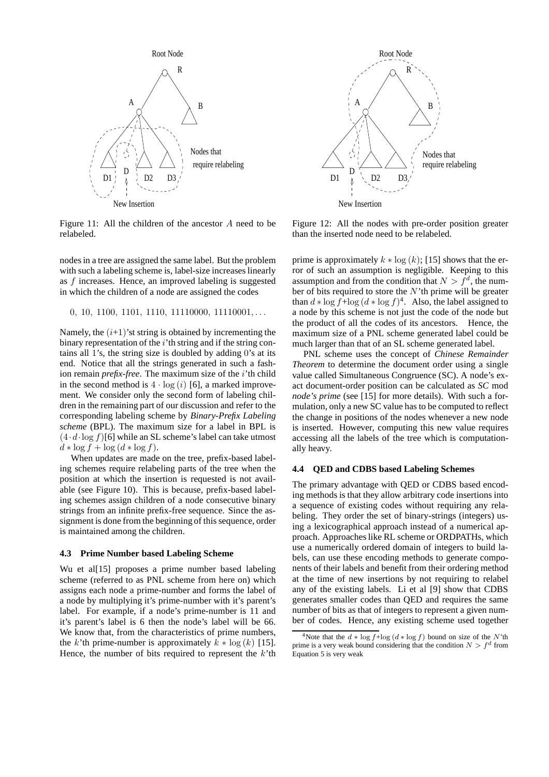

Root Node R  $A \n\begin{matrix} A & A \end{matrix}$   $B$  $\overline{D}$ New Insertion require relabeling Nodes that  $D1 \quad N \rightarrow D2$  D3

Figure 11: All the children of the ancestor A need to be relabeled.

nodes in a tree are assigned the same label. But the problem with such a labeling scheme is, label-size increases linearly as f increases. Hence, an improved labeling is suggested in which the children of a node are assigned the codes

$$
0, 10, 1100, 1101, 1110, 11110000, 11110001, \ldots
$$

Namely, the  $(i+1)$ 'st string is obtained by incrementing the binary representation of the  $i'$ th string and if the string contains all 1's, the string size is doubled by adding 0's at its end. Notice that all the strings generated in such a fashion remain *prefix-free*. The maximum size of the i'th child in the second method is  $4 \cdot \log(i)$  [6], a marked improvement. We consider only the second form of labeling children in the remaining part of our discussion and refer to the corresponding labeling scheme by *Binary-Prefix Labeling scheme* (BPL). The maximum size for a label in BPL is  $(4 \cdot d \cdot \log f)$ [6] while an SL scheme's label can take utmost  $d * \log f + \log (d * \log f).$ 

When updates are made on the tree, prefix-based labeling schemes require relabeling parts of the tree when the position at which the insertion is requested is not available (see Figure 10). This is because, prefix-based labeling schemes assign children of a node consecutive binary strings from an infinite prefix-free sequence. Since the assignment is done from the beginning of this sequence, order is maintained among the children.

#### **4.3 Prime Number based Labeling Scheme**

Wu et al<sup>[15]</sup> proposes a prime number based labeling scheme (referred to as PNL scheme from here on) which assigns each node a prime-number and forms the label of a node by multiplying it's prime-number with it's parent's label. For example, if a node's prime-number is 11 and it's parent's label is 6 then the node's label will be 66. We know that, from the characteristics of prime numbers, the k'th prime-number is approximately  $k * log(k)$  [15]. Hence, the number of bits required to represent the  $k$ 'th

Figure 12: All the nodes with pre-order position greater than the inserted node need to be relabeled.

prime is approximately  $k * log (k)$ ; [15] shows that the error of such an assumption is negligible. Keeping to this assumption and from the condition that  $N > f<sup>d</sup>$ , the number of bits required to store the  $N$ 'th prime will be greater than  $d * \log f + \log (d * \log f)^4$ . Also, the label assigned to a node by this scheme is not just the code of the node but the product of all the codes of its ancestors. Hence, the maximum size of a PNL scheme generated label could be much larger than that of an SL scheme generated label.

PNL scheme uses the concept of *Chinese Remainder Theorem* to determine the document order using a single value called Simultaneous Congruence (SC). A node's exact document-order position can be calculated as *SC* mod *node's prime* (see [15] for more details). With such a formulation, only a new SC value has to be computed to reflect the change in positions of the nodes whenever a new node is inserted. However, computing this new value requires accessing all the labels of the tree which is computationally heavy.

## **4.4 QED and CDBS based Labeling Schemes**

The primary advantage with QED or CDBS based encoding methods is that they allow arbitrary code insertions into a sequence of existing codes without requiring any relabeling. They order the set of binary-strings (integers) using a lexicographical approach instead of a numerical approach. Approaches like RL scheme or ORDPATHs, which use a numerically ordered domain of integers to build labels, can use these encoding methods to generate components of their labels and benefit from their ordering method at the time of new insertions by not requiring to relabel any of the existing labels. Li et al [9] show that CDBS generates smaller codes than QED and requires the same number of bits as that of integers to represent a given number of codes. Hence, any existing scheme used together

<sup>&</sup>lt;sup>4</sup>Note that the  $d * \log f + \log (d * \log f)$  bound on size of the N'th prime is a very weak bound considering that the condition  $N > f<sup>d</sup>$  from Equation 5 is very weak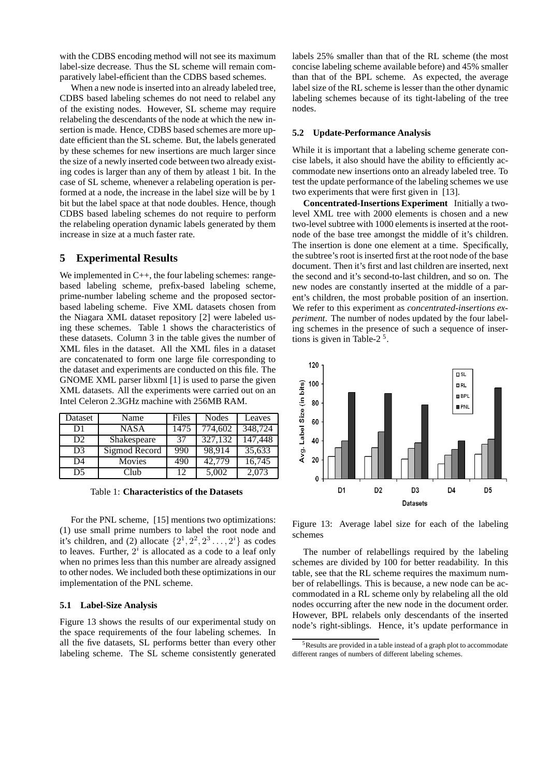with the CDBS encoding method will not see its maximum label-size decrease. Thus the SL scheme will remain comparatively label-efficient than the CDBS based schemes.

When a new node is inserted into an already labeled tree, CDBS based labeling schemes do not need to relabel any of the existing nodes. However, SL scheme may require relabeling the descendants of the node at which the new insertion is made. Hence, CDBS based schemes are more update efficient than the SL scheme. But, the labels generated by these schemes for new insertions are much larger since the size of a newly inserted code between two already existing codes is larger than any of them by atleast 1 bit. In the case of SL scheme, whenever a relabeling operation is performed at a node, the increase in the label size will be by 1 bit but the label space at that node doubles. Hence, though CDBS based labeling schemes do not require to perform the relabeling operation dynamic labels generated by them increase in size at a much faster rate.

## **5 Experimental Results**

We implemented in C++, the four labeling schemes: rangebased labeling scheme, prefix-based labeling scheme, prime-number labeling scheme and the proposed sectorbased labeling scheme. Five XML datasets chosen from the Niagara XML dataset repository [2] were labeled using these schemes. Table 1 shows the characteristics of these datasets. Column 3 in the table gives the number of XML files in the dataset. All the XML files in a dataset are concatenated to form one large file corresponding to the dataset and experiments are conducted on this file. The GNOME XML parser libxml [1] is used to parse the given XML datasets. All the experiments were carried out on an Intel Celeron 2.3GHz machine with 256MB RAM.

| Dataset        | Name          | Files | <b>Nodes</b> | Leaves  |
|----------------|---------------|-------|--------------|---------|
| D1             | <b>NASA</b>   | 1475  | 774,602      | 348,724 |
| D2             | Shakespeare   | 37    | 327,132      | 147,448 |
| D <sub>3</sub> | Sigmod Record | 990   | 98,914       | 35,633  |
| D <sub>4</sub> | Movies        | 490   | 42,779       | 16,745  |
| D <sub>5</sub> | Club          | 12    | 5,002        | 2,073   |

Table 1: **Characteristics of the Datasets**

For the PNL scheme, [15] mentions two optimizations: (1) use small prime numbers to label the root node and it's children, and (2) allocate  $\{2^1, 2^2, 2^3 \ldots, 2^i\}$  as codes to leaves. Further,  $2^i$  is allocated as a code to a leaf only when no primes less than this number are already assigned to other nodes. We included both these optimizations in our implementation of the PNL scheme.

#### **5.1 Label-Size Analysis**

Figure 13 shows the results of our experimental study on the space requirements of the four labeling schemes. In all the five datasets, SL performs better than every other labeling scheme. The SL scheme consistently generated

labels 25% smaller than that of the RL scheme (the most concise labeling scheme available before) and 45% smaller than that of the BPL scheme. As expected, the average label size of the RL scheme is lesser than the other dynamic labeling schemes because of its tight-labeling of the tree nodes.

#### **5.2 Update-Performance Analysis**

While it is important that a labeling scheme generate concise labels, it also should have the ability to efficiently accommodate new insertions onto an already labeled tree. To test the update performance of the labeling schemes we use two experiments that were first given in [13].

**Concentrated-Insertions Experiment** Initially a twolevel XML tree with 2000 elements is chosen and a new two-level subtree with 1000 elements is inserted at the rootnode of the base tree amongst the middle of it's children. The insertion is done one element at a time. Specifically, the subtree's root is inserted first at the root node of the base document. Then it's first and last children are inserted, next the second and it's second-to-last children, and so on. The new nodes are constantly inserted at the middle of a parent's children, the most probable position of an insertion. We refer to this experiment as *concentrated-insertions experiment*. The number of nodes updated by the four labeling schemes in the presence of such a sequence of insertions is given in Table-2 $<sup>5</sup>$ .</sup>



Figure 13: Average label size for each of the labeling schemes

The number of relabellings required by the labeling schemes are divided by 100 for better readability. In this table, see that the RL scheme requires the maximum number of relabellings. This is because, a new node can be accommodated in a RL scheme only by relabeling all the old nodes occurring after the new node in the document order. However, BPL relabels only descendants of the inserted node's right-siblings. Hence, it's update performance in

<sup>5</sup>Results are provided in a table instead of a graph plot to accommodate different ranges of numbers of different labeling schemes.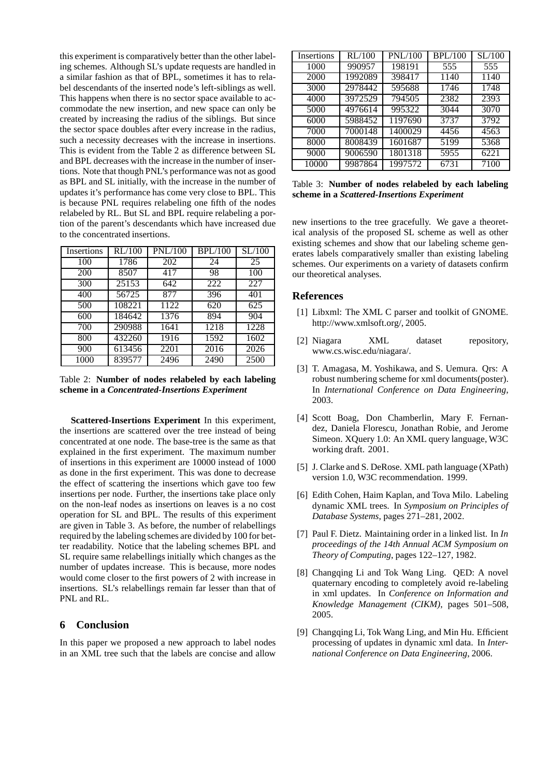this experiment is comparatively better than the other labeling schemes. Although SL's update requests are handled in a similar fashion as that of BPL, sometimes it has to relabel descendants of the inserted node's left-siblings as well. This happens when there is no sector space available to accommodate the new insertion, and new space can only be created by increasing the radius of the siblings. But since the sector space doubles after every increase in the radius, such a necessity decreases with the increase in insertions. This is evident from the Table 2 as difference between SL and BPL decreases with the increase in the number of insertions. Note that though PNL's performance was not as good as BPL and SL initially, with the increase in the number of updates it's performance has come very close to BPL. This is because PNL requires relabeling one fifth of the nodes relabeled by RL. But SL and BPL require relabeling a portion of the parent's descendants which have increased due to the concentrated insertions.

| Insertions | RL/100 | <b>PNL/100</b> | <b>BPL/100</b> | SL/100 |
|------------|--------|----------------|----------------|--------|
| 100        | 1786   | 202            | 24             | 25     |
| 200        | 8507   | 417            | 98             | 100    |
| 300        | 25153  | 642            | 222            | 227    |
| 400        | 56725  | 877            | 396            | 401    |
| 500        | 108221 | 1122           | 620            | 625    |
| 600        | 184642 | 1376           | 894            | 904    |
| 700        | 290988 | 1641           | 1218           | 1228   |
| 800        | 432260 | 1916           | 1592           | 1602   |
| 900        | 613456 | 2201           | 2016           | 2026   |
| 1000       | 839577 | 2496           | 2490           | 2500   |

Table 2: **Number of nodes relabeled by each labeling scheme in a** *Concentrated-Insertions Experiment*

**Scattered-Insertions Experiment** In this experiment, the insertions are scattered over the tree instead of being concentrated at one node. The base-tree is the same as that explained in the first experiment. The maximum number of insertions in this experiment are 10000 instead of 1000 as done in the first experiment. This was done to decrease the effect of scattering the insertions which gave too few insertions per node. Further, the insertions take place only on the non-leaf nodes as insertions on leaves is a no cost operation for SL and BPL. The results of this experiment are given in Table 3. As before, the number of relabellings required by the labeling schemes are divided by 100 for better readability. Notice that the labeling schemes BPL and SL require same relabellings initially which changes as the number of updates increase. This is because, more nodes would come closer to the first powers of 2 with increase in insertions. SL's relabellings remain far lesser than that of PNL and RL.

## **6 Conclusion**

In this paper we proposed a new approach to label nodes in an XML tree such that the labels are concise and allow

| Insertions | RL/100  | <b>PNL/100</b> | <b>BPL/100</b> | SL/100 |
|------------|---------|----------------|----------------|--------|
| 1000       | 990957  | 198191         | 555            | 555    |
| 2000       | 1992089 | 398417         | 1140           | 1140   |
| 3000       | 2978442 | 595688         | 1746           | 1748   |
| 4000       | 3972529 | 794505         | 2382           | 2393   |
| 5000       | 4976614 | 995322         | 3044           | 3070   |
| 6000       | 5988452 | 1197690        | 3737           | 3792   |
| 7000       | 7000148 | 1400029        | 4456           | 4563   |
| 8000       | 8008439 | 1601687        | 5199           | 5368   |
| 9000       | 9006590 | 1801318        | 5955           | 6221   |
| 10000      | 9987864 | 1997572        | 6731           | 7100   |

Table 3: **Number of nodes relabeled by each labeling scheme in a** *Scattered-Insertions Experiment*

new insertions to the tree gracefully. We gave a theoretical analysis of the proposed SL scheme as well as other existing schemes and show that our labeling scheme generates labels comparatively smaller than existing labeling schemes. Our experiments on a variety of datasets confirm our theoretical analyses.

## **References**

- [1] Libxml: The XML C parser and toolkit of GNOME. http://www.xmlsoft.org/, 2005.
- [2] Niagara XML dataset repository, www.cs.wisc.edu/niagara/.
- [3] T. Amagasa, M. Yoshikawa, and S. Uemura. Qrs: A robust numbering scheme for xml documents(poster). In *International Conference on Data Engineering*, 2003.
- [4] Scott Boag, Don Chamberlin, Mary F. Fernandez, Daniela Florescu, Jonathan Robie, and Jerome Simeon. XQuery 1.0: An XML query language, W3C working draft. 2001.
- [5] J. Clarke and S. DeRose. XML path language (XPath) version 1.0, W3C recommendation. 1999.
- [6] Edith Cohen, Haim Kaplan, and Tova Milo. Labeling dynamic XML trees. In *Symposium on Principles of Database Systems*, pages 271–281, 2002.
- [7] Paul F. Dietz. Maintaining order in a linked list. In *In proceedings of the 14th Annual ACM Symposium on Theory of Computing*, pages 122–127, 1982.
- [8] Changqing Li and Tok Wang Ling. OED: A novel quaternary encoding to completely avoid re-labeling in xml updates. In *Conference on Information and Knowledge Management (CIKM)*, pages 501–508, 2005.
- [9] Changqing Li, Tok Wang Ling, and Min Hu. Efficient processing of updates in dynamic xml data. In *International Conference on Data Engineering*, 2006.